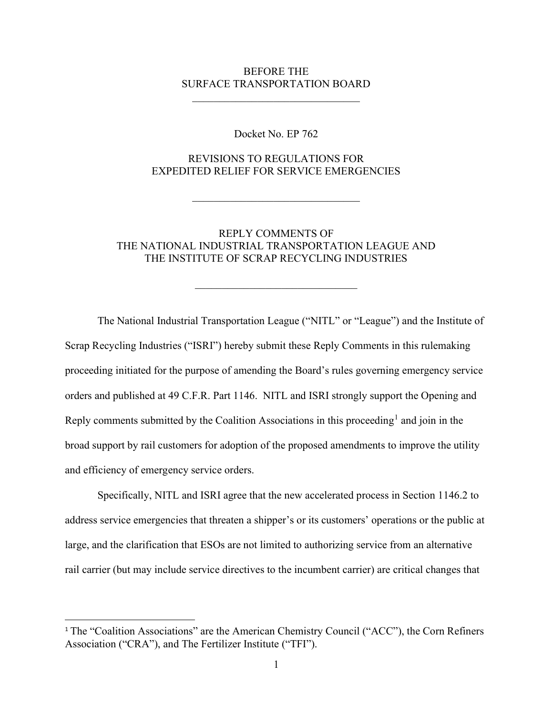## BEFORE THE SURFACE TRANSPORTATION BOARD

## Docket No. EP 762

## REVISIONS TO REGULATIONS FOR EXPEDITED RELIEF FOR SERVICE EMERGENCIES

## REPLY COMMENTS OF THE NATIONAL INDUSTRIAL TRANSPORTATION LEAGUE AND THE INSTITUTE OF SCRAP RECYCLING INDUSTRIES

 The National Industrial Transportation League ("NITL" or "League") and the Institute of Scrap Recycling Industries ("ISRI") hereby submit these Reply Comments in this rulemaking proceeding initiated for the purpose of amending the Board's rules governing emergency service orders and published at 49 C.F.R. Part 1146. NITL and ISRI strongly support the Opening and Reply comments submitted by the Coalition Associations in this proceeding<sup>1</sup> and join in the broad support by rail customers for adoption of the proposed amendments to improve the utility and efficiency of emergency service orders.

Specifically, NITL and ISRI agree that the new accelerated process in Section 1146.2 to address service emergencies that threaten a shipper's or its customers' operations or the public at large, and the clarification that ESOs are not limited to authorizing service from an alternative rail carrier (but may include service directives to the incumbent carrier) are critical changes that

<sup>&</sup>lt;sup>1</sup> The "Coalition Associations" are the American Chemistry Council ("ACC"), the Corn Refiners Association ("CRA"), and The Fertilizer Institute ("TFI").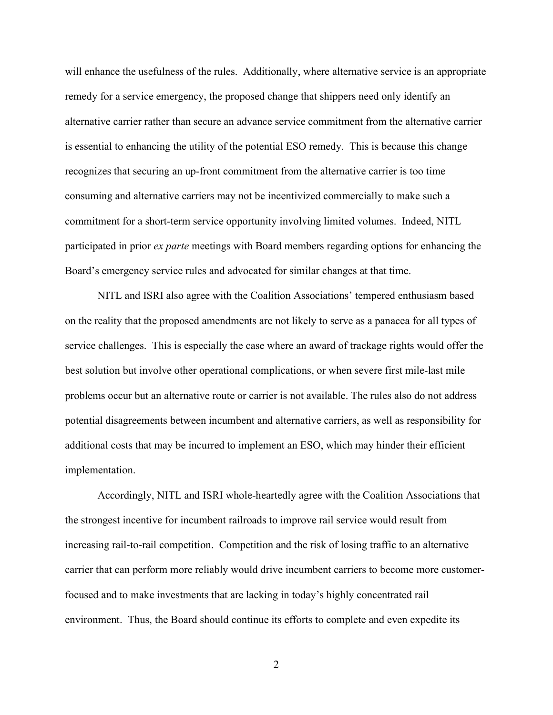will enhance the usefulness of the rules. Additionally, where alternative service is an appropriate remedy for a service emergency, the proposed change that shippers need only identify an alternative carrier rather than secure an advance service commitment from the alternative carrier is essential to enhancing the utility of the potential ESO remedy. This is because this change recognizes that securing an up-front commitment from the alternative carrier is too time consuming and alternative carriers may not be incentivized commercially to make such a commitment for a short-term service opportunity involving limited volumes. Indeed, NITL participated in prior ex parte meetings with Board members regarding options for enhancing the Board's emergency service rules and advocated for similar changes at that time.

NITL and ISRI also agree with the Coalition Associations' tempered enthusiasm based on the reality that the proposed amendments are not likely to serve as a panacea for all types of service challenges. This is especially the case where an award of trackage rights would offer the best solution but involve other operational complications, or when severe first mile-last mile problems occur but an alternative route or carrier is not available. The rules also do not address potential disagreements between incumbent and alternative carriers, as well as responsibility for additional costs that may be incurred to implement an ESO, which may hinder their efficient implementation.

Accordingly, NITL and ISRI whole-heartedly agree with the Coalition Associations that the strongest incentive for incumbent railroads to improve rail service would result from increasing rail-to-rail competition. Competition and the risk of losing traffic to an alternative carrier that can perform more reliably would drive incumbent carriers to become more customerfocused and to make investments that are lacking in today's highly concentrated rail environment. Thus, the Board should continue its efforts to complete and even expedite its

2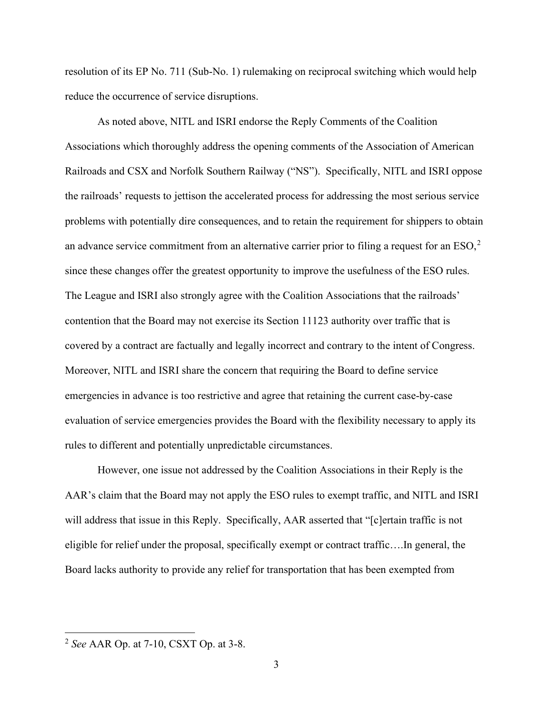resolution of its EP No. 711 (Sub-No. 1) rulemaking on reciprocal switching which would help reduce the occurrence of service disruptions.

As noted above, NITL and ISRI endorse the Reply Comments of the Coalition Associations which thoroughly address the opening comments of the Association of American Railroads and CSX and Norfolk Southern Railway ("NS"). Specifically, NITL and ISRI oppose the railroads' requests to jettison the accelerated process for addressing the most serious service problems with potentially dire consequences, and to retain the requirement for shippers to obtain an advance service commitment from an alternative carrier prior to filing a request for an  $ESO<sub>1</sub><sup>2</sup>$ since these changes offer the greatest opportunity to improve the usefulness of the ESO rules. The League and ISRI also strongly agree with the Coalition Associations that the railroads' contention that the Board may not exercise its Section 11123 authority over traffic that is covered by a contract are factually and legally incorrect and contrary to the intent of Congress. Moreover, NITL and ISRI share the concern that requiring the Board to define service emergencies in advance is too restrictive and agree that retaining the current case-by-case evaluation of service emergencies provides the Board with the flexibility necessary to apply its rules to different and potentially unpredictable circumstances.

However, one issue not addressed by the Coalition Associations in their Reply is the AAR's claim that the Board may not apply the ESO rules to exempt traffic, and NITL and ISRI will address that issue in this Reply. Specifically, AAR asserted that "[c]ertain traffic is not eligible for relief under the proposal, specifically exempt or contract traffic….In general, the Board lacks authority to provide any relief for transportation that has been exempted from

<sup>2</sup> See AAR Op. at 7-10, CSXT Op. at 3-8.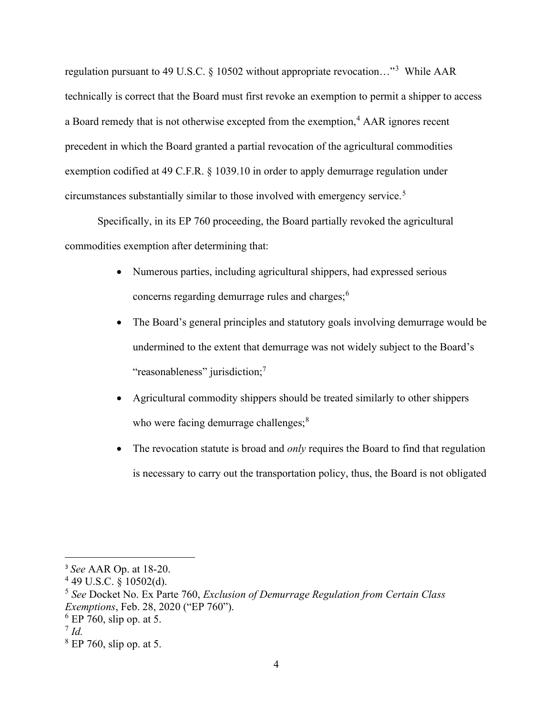regulation pursuant to 49 U.S.C. § 10502 without appropriate revocation..."<sup>3</sup> While AAR technically is correct that the Board must first revoke an exemption to permit a shipper to access a Board remedy that is not otherwise excepted from the exemption,<sup>4</sup> AAR ignores recent precedent in which the Board granted a partial revocation of the agricultural commodities exemption codified at 49 C.F.R. § 1039.10 in order to apply demurrage regulation under circumstances substantially similar to those involved with emergency service.<sup>5</sup>

Specifically, in its EP 760 proceeding, the Board partially revoked the agricultural commodities exemption after determining that:

- Numerous parties, including agricultural shippers, had expressed serious concerns regarding demurrage rules and charges;<sup>6</sup>
- The Board's general principles and statutory goals involving demurrage would be undermined to the extent that demurrage was not widely subject to the Board's "reasonableness" jurisdiction;<sup>7</sup>
- Agricultural commodity shippers should be treated similarly to other shippers who were facing demurrage challenges; $8<sup>8</sup>$
- The revocation statute is broad and *only* requires the Board to find that regulation is necessary to carry out the transportation policy, thus, the Board is not obligated

<sup>3</sup> See AAR Op. at 18-20.

 $4$  49 U.S.C. § 10502(d).

<sup>5</sup> See Docket No. Ex Parte 760, Exclusion of Demurrage Regulation from Certain Class Exemptions, Feb. 28, 2020 ("EP 760").

 $6$  EP 760, slip op. at 5.

 $^7$  Id.

 $8$  EP 760, slip op. at 5.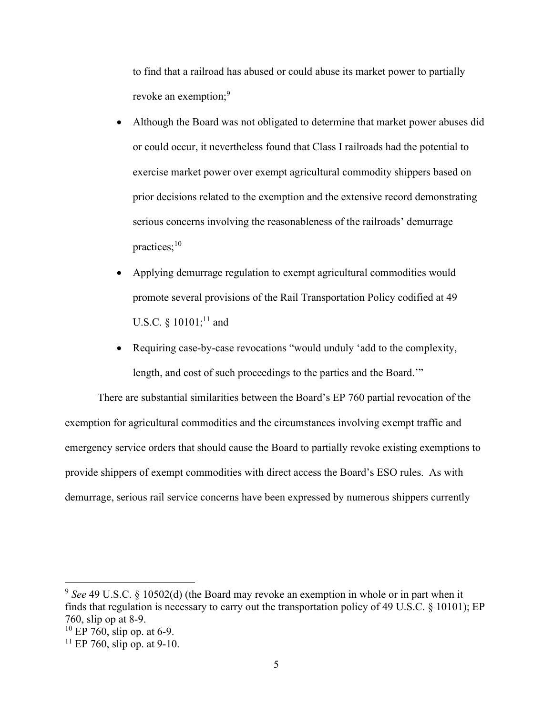to find that a railroad has abused or could abuse its market power to partially revoke an exemption;<sup>9</sup>

- Although the Board was not obligated to determine that market power abuses did or could occur, it nevertheless found that Class I railroads had the potential to exercise market power over exempt agricultural commodity shippers based on prior decisions related to the exemption and the extensive record demonstrating serious concerns involving the reasonableness of the railroads' demurrage practices;<sup>10</sup>
- Applying demurrage regulation to exempt agricultural commodities would promote several provisions of the Rail Transportation Policy codified at 49 U.S.C.  $\S$  10101;<sup>11</sup> and
- Requiring case-by-case revocations "would unduly 'add to the complexity, length, and cost of such proceedings to the parties and the Board.'"

There are substantial similarities between the Board's EP 760 partial revocation of the exemption for agricultural commodities and the circumstances involving exempt traffic and emergency service orders that should cause the Board to partially revoke existing exemptions to provide shippers of exempt commodities with direct access the Board's ESO rules. As with demurrage, serious rail service concerns have been expressed by numerous shippers currently

 $9$  See 49 U.S.C. § 10502(d) (the Board may revoke an exemption in whole or in part when it finds that regulation is necessary to carry out the transportation policy of 49 U.S.C. § 10101); EP 760, slip op at 8-9.

 $10$  EP 760, slip op. at 6-9.

 $11$  EP 760, slip op. at 9-10.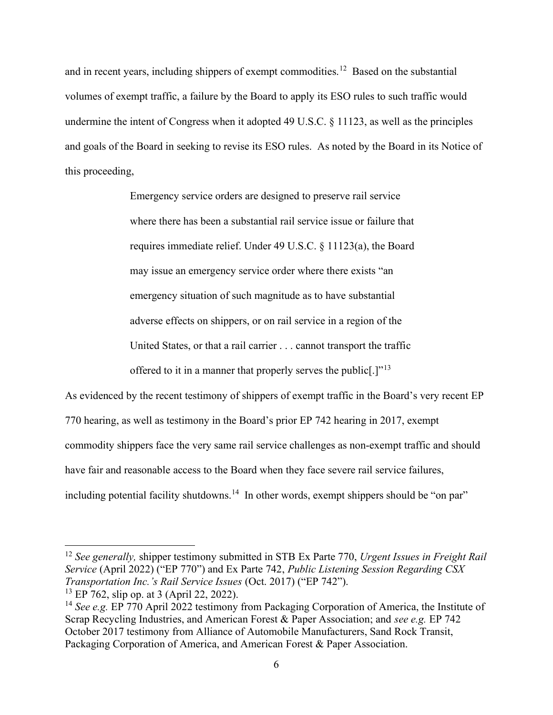and in recent years, including shippers of exempt commodities.<sup>12</sup> Based on the substantial volumes of exempt traffic, a failure by the Board to apply its ESO rules to such traffic would undermine the intent of Congress when it adopted 49 U.S.C. § 11123, as well as the principles and goals of the Board in seeking to revise its ESO rules. As noted by the Board in its Notice of this proceeding,

> Emergency service orders are designed to preserve rail service where there has been a substantial rail service issue or failure that requires immediate relief. Under 49 U.S.C. § 11123(a), the Board may issue an emergency service order where there exists "an emergency situation of such magnitude as to have substantial adverse effects on shippers, or on rail service in a region of the United States, or that a rail carrier . . . cannot transport the traffic offered to it in a manner that properly serves the public<sup>[1]</sup><sup>13</sup>

As evidenced by the recent testimony of shippers of exempt traffic in the Board's very recent EP 770 hearing, as well as testimony in the Board's prior EP 742 hearing in 2017, exempt commodity shippers face the very same rail service challenges as non-exempt traffic and should have fair and reasonable access to the Board when they face severe rail service failures, including potential facility shutdowns.<sup>14</sup> In other words, exempt shippers should be "on par"

 $12$  See generally, shipper testimony submitted in STB Ex Parte 770, Urgent Issues in Freight Rail Service (April 2022) ("EP 770") and Ex Parte 742, Public Listening Session Regarding CSX Transportation Inc.'s Rail Service Issues (Oct. 2017) ("EP 742").  $13$  EP 762, slip op. at 3 (April 22, 2022).

<sup>&</sup>lt;sup>14</sup> See e.g. EP 770 April 2022 testimony from Packaging Corporation of America, the Institute of Scrap Recycling Industries, and American Forest & Paper Association; and see e.g. EP 742 October 2017 testimony from Alliance of Automobile Manufacturers, Sand Rock Transit, Packaging Corporation of America, and American Forest & Paper Association.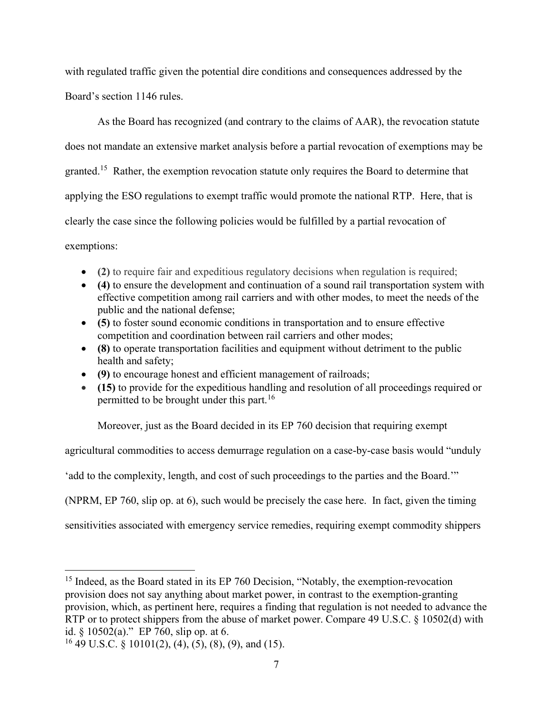with regulated traffic given the potential dire conditions and consequences addressed by the Board's section 1146 rules.

 As the Board has recognized (and contrary to the claims of AAR), the revocation statute does not mandate an extensive market analysis before a partial revocation of exemptions may be granted.<sup>15</sup> Rather, the exemption revocation statute only requires the Board to determine that applying the ESO regulations to exempt traffic would promote the national RTP. Here, that is clearly the case since the following policies would be fulfilled by a partial revocation of exemptions:

- (2) to require fair and expeditious regulatory decisions when regulation is required;
- (4) to ensure the development and continuation of a sound rail transportation system with effective competition among rail carriers and with other modes, to meet the needs of the public and the national defense;
- (5) to foster sound economic conditions in transportation and to ensure effective competition and coordination between rail carriers and other modes;
- (8) to operate transportation facilities and equipment without detriment to the public health and safety;
- (9) to encourage honest and efficient management of railroads;
- (15) to provide for the expeditious handling and resolution of all proceedings required or permitted to be brought under this part.<sup>16</sup>

Moreover, just as the Board decided in its EP 760 decision that requiring exempt

agricultural commodities to access demurrage regulation on a case-by-case basis would "unduly

'add to the complexity, length, and cost of such proceedings to the parties and the Board.'"

(NPRM, EP 760, slip op. at 6), such would be precisely the case here. In fact, given the timing

sensitivities associated with emergency service remedies, requiring exempt commodity shippers

<sup>&</sup>lt;sup>15</sup> Indeed, as the Board stated in its EP 760 Decision, "Notably, the exemption-revocation provision does not say anything about market power, in contrast to the exemption-granting provision, which, as pertinent here, requires a finding that regulation is not needed to advance the RTP or to protect shippers from the abuse of market power. Compare 49 U.S.C. § 10502(d) with id. § 10502(a)." EP 760, slip op. at 6.

<sup>&</sup>lt;sup>16</sup> 49 U.S.C. § 10101(2), (4), (5), (8), (9), and (15).